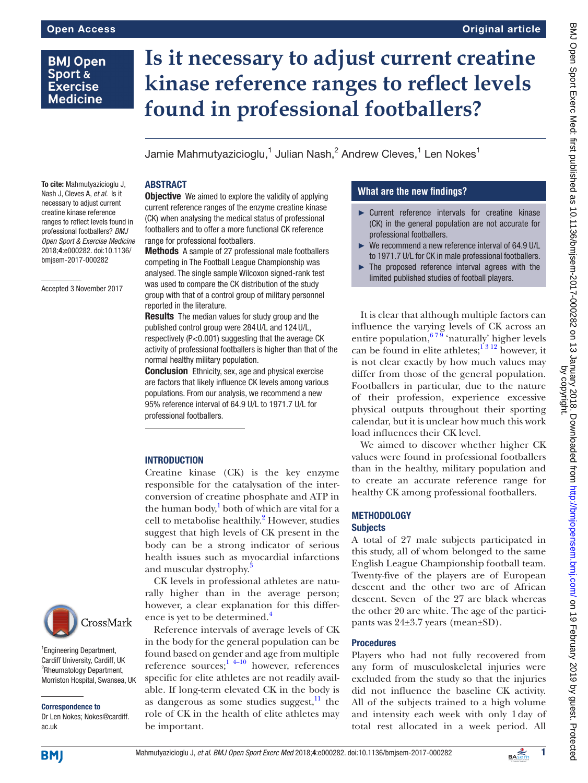# **BMJ Open** Sport & **Exercise Medicine**

# **Is it necessary to adjust current creatine kinase reference ranges to reflect levels found in professional footballers?**

Jamie Mahmutyazicioglu, $^1$  Julian Nash, $^2$  Andrew Cleves, $^1$  Len Nokes $^1$ 

### **ABSTRACT**

**Objective** We aimed to explore the validity of applying current reference ranges of the enzyme creatine kinase (CK) when analysing the medical status of professional footballers and to offer a more functional CK reference range for professional footballers.

Methods A sample of 27 professional male footballers competing in The Football League Championship was analysed. The single sample Wilcoxon signed-rank test was used to compare the CK distribution of the study group with that of a control group of military personnel reported in the literature.

**Results** The median values for study group and the published control group were 284U/L and 124U/L, respectively (P<0.001) suggesting that the average CK activity of professional footballers is higher than that of the normal healthy military population.

**Conclusion** Ethnicity, sex, age and physical exercise are factors that likely influence CK levels among various populations. From our analysis, we recommend a new 95% reference interval of 64.9 U/L to 1971.7 U/L for professional footballers.

# **INTRODUCTION**

Creatine kinase (CK) is the key enzyme responsible for the catalysation of the interconversion of creatine phosphate and ATP in the human body, $\frac{1}{2}$  both of which are vital for a cell to metabolise healthily.<sup>2</sup> However, studies suggest that high levels of CK present in the body can be a strong indicator of serious health issues such as myocardial infarctions and muscular dystrophy.<sup>3</sup>

CK levels in professional athletes are naturally higher than in the average person; however, a clear explanation for this difference is yet to be determined.<sup>4</sup>

Reference intervals of average levels of CK in the body for the general population can be found based on gender and age from multiple reference sources; $1 + 4 - 10$  however, references specific for elite athletes are not readily available. If long-term elevated CK in the body is as dangerous as some studies suggest, $11$  the role of CK in the health of elite athletes may be important.

# **What are the new findings?**

- ► Current reference intervals for creatine kinase (CK) in the general population are not accurate for professional footballers.
- We recommend a new reference interval of 64.9 U/L to 1971.7 U/L for CK in male professional footballers.
- ► The proposed reference interval agrees with the limited published studies of football players.

It is clear that although multiple factors can influence the varying levels of CK across an entire population,  $67\frac{9}{9}$  'naturally' higher levels can be found in elite athletes; $^{1312}$  however, it is not clear exactly by how much values may differ from those of the general population. Footballers in particular, due to the nature of their profession, experience excessive physical outputs throughout their sporting calendar, but it is unclear how much this work load influences their CK level.

We aimed to discover whether higher CK values were found in professional footballers than in the healthy, military population and to create an accurate reference range for healthy CK among professional footballers.

#### **METHODOLOGY Subjects**

A total of 27 male subjects participated in this study, all of whom belonged to the same English League Championship football team. Twenty-five of the players are of European descent and the other two are of African descent. Seven of the 27 are black whereas the other 20 are white. The age of the participants was 24±3.7 years (mean±SD).

# Procedures

Players who had not fully recovered from any form of musculoskeletal injuries were excluded from the study so that the injuries did not influence the baseline CK activity. All of the subjects trained to a high volume and intensity each week with only 1day of total rest allocated in a week period. All

To cite: Mahmutyazicioglu J, Nash J, Cleves A, *et al*. Is it necessary to adjust current creatine kinase reference ranges to reflect levels found in professional footballers? *BMJ Open Sport & Exercise Medicine* 2018;4:e000282. doi:10.1136/ bmjsem-2017-000282

Accepted 3 November 2017



<sup>1</sup> Engineering Department, Cardiff University, Cardiff, UK <sup>2</sup>Rheumatology Department, Morriston Hospital, Swansea, UK

Correspondence to Dr Len Nokes; Nokes@cardiff. ac.uk

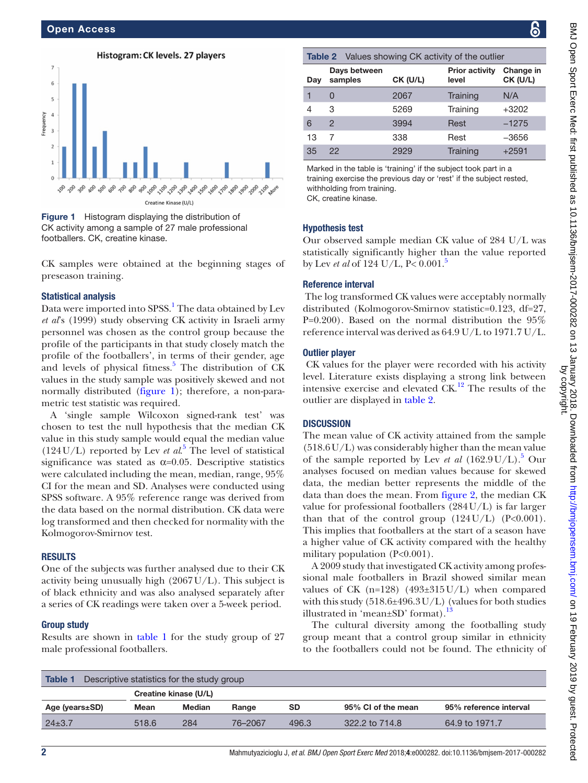

<span id="page-1-0"></span>**Figure 1** Histogram displaying the distribution of CK activity among a sample of 27 male professional footballers. CK, creatine kinase.

CK samples were obtained at the beginning stages of preseason training.

#### Statistical analysis

Data were imported into SPSS.<sup>[1](#page-2-0)</sup> The data obtained by Lev *et al*'s (1999) study observing CK activity in Israeli army personnel was chosen as the control group because the profile of the participants in that study closely match the profile of the footballers', in terms of their gender, age and levels of physical fitness. $5$  The distribution of CK values in the study sample was positively skewed and not normally distributed ([figure](#page-1-0) 1); therefore, a non-parametric test statistic was required.

A 'single sample Wilcoxon signed-rank test' was chosen to test the null hypothesis that the median CK value in this study sample would equal the median value  $(124 U/L)$  reported by Lev *et al.*<sup>[5](#page-3-2)</sup> The level of statistical significance was stated as  $\alpha$ =0.05. Descriptive statistics were calculated including the mean, median, range, 95% CI for the mean and SD. Analyses were conducted using SPSS software. A 95% reference range was derived from the data based on the normal distribution. CK data were log transformed and then checked for normality with the Kolmogorov-Smirnov test.

#### **RESULTS**

One of the subjects was further analysed due to their CK activity being unusually high  $(2067 \text{U/L})$ . This subject is of black ethnicity and was also analysed separately after a series of CK readings were taken over a 5-week period.

#### Group study

Results are shown in [table](#page-1-1) 1 for the study group of 27 male professional footballers.

<span id="page-1-2"></span>

| <b>Table 2</b> Values showing CK activity of the outlier |                         |          |                                |                       |  |  |  |  |  |
|----------------------------------------------------------|-------------------------|----------|--------------------------------|-----------------------|--|--|--|--|--|
| Day                                                      | Days between<br>samples | CK (U/L) | <b>Prior activity</b><br>level | Change in<br>CK (U/L) |  |  |  |  |  |
| 1                                                        | Ü                       | 2067     | Training                       | N/A                   |  |  |  |  |  |
| 4                                                        | 3                       | 5269     | Training                       | $+3202$               |  |  |  |  |  |
| 6                                                        | $\mathcal{P}$           | 3994     | Rest                           | $-1275$               |  |  |  |  |  |
| 13                                                       |                         | 338      | Rest                           | $-3656$               |  |  |  |  |  |
| 35                                                       | 22                      | 2929     | Training                       | $+2591$               |  |  |  |  |  |

Marked in the table is 'training' if the subject took part in a training exercise the previous day or 'rest' if the subject rested, withholding from training. CK, creatine kinase.

#### Hypothesis test

Our observed sample median CK value of 284 U/L was statistically significantly higher than the value reported by Lev *et al* of 124 U/L, P< 0.001[.5](#page-3-2)

#### Reference interval

 The log transformed CK values were acceptably normally distributed (Kolmogorov-Smirnov statistic=0.123, df=27, P=0.200). Based on the normal distribution the 95% reference interval was derived as 64.9 U/L to 1971.7 U/L.

#### Outlier player

 CK values for the player were recorded with his activity level. Literature exists displaying a strong link between intensive exercise and elevated  $CK<sup>12</sup>$ . The results of the outlier are displayed in [table](#page-1-2) 2.

#### **DISCUSSION**

The mean value of CK activity attained from the sample (518.6U/L) was considerably higher than the mean value of the sample reported by Lev *et al*  $(162.9 U/L).$ <sup>[5](#page-3-2)</sup> Our analyses focused on median values because for skewed data, the median better represents the middle of the data than does the mean. From [figure](#page-2-1) 2, the median CK value for professional footballers (284U/L) is far larger than that of the control group  $(124U/L)$   $(P<0.001)$ . This implies that footballers at the start of a season have a higher value of CK activity compared with the healthy military population (P<0.001).

A 2009 study that investigated CK activity among professional male footballers in Brazil showed similar mean values of CK (n=128) (493±315U/L) when compared with this study (518.6±496.3U/L) (values for both studies illustrated in 'mean $\pm$ SD' format).<sup>[13](#page-3-4)</sup>

The cultural diversity among the footballing study group meant that a control group similar in ethnicity to the footballers could not be found. The ethnicity of

<span id="page-1-1"></span>

| <b>Table 1</b><br>Descriptive statistics for the study group |                       |               |         |           |                    |                        |  |  |  |  |
|--------------------------------------------------------------|-----------------------|---------------|---------|-----------|--------------------|------------------------|--|--|--|--|
|                                                              | Creatine kinase (U/L) |               |         |           |                    |                        |  |  |  |  |
| Age (years±SD)                                               | Mean                  | <b>Median</b> | Range   | <b>SD</b> | 95% CI of the mean | 95% reference interval |  |  |  |  |
| $24\pm3.7$                                                   | 518.6                 | 284           | 76-2067 | 496.3     | 322.2 to 714.8     | 64.9 to 1971.7         |  |  |  |  |
|                                                              |                       |               |         |           |                    |                        |  |  |  |  |

2 Mahmutyazicioglu J, *et al*. *BMJ Open Sport Exerc Med* 2018;4:e000282. doi:10.1136/bmjsem-2017-000282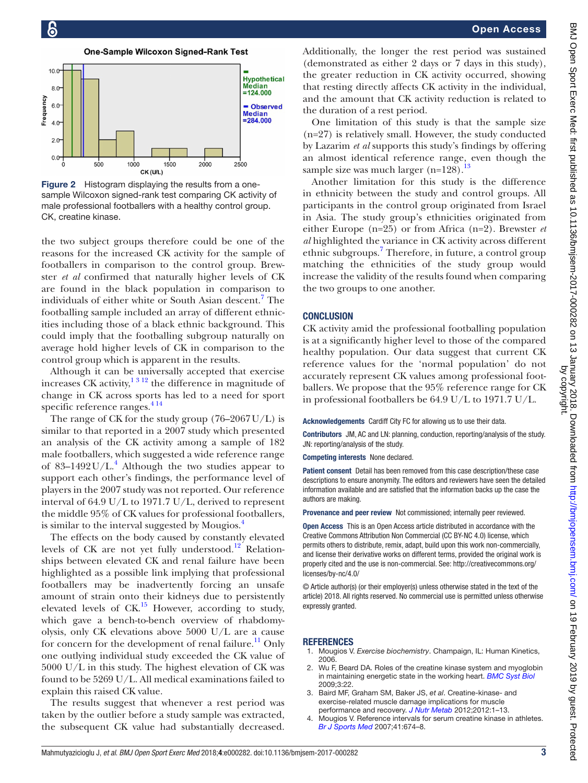**One-Sample Wilcoxon Signed-Rank Test** 



<span id="page-2-1"></span>Figure 2 Histogram displaying the results from a onesample Wilcoxon signed-rank test comparing CK activity of male professional footballers with a healthy control group. CK, creatine kinase.

the two subject groups therefore could be one of the reasons for the increased CK activity for the sample of footballers in comparison to the control group. Brewster *et al* confirmed that naturally higher levels of CK are found in the black population in comparison to individuals of either white or South Asian descent.<sup>7</sup> The footballing sample included an array of different ethnicities including those of a black ethnic background. This could imply that the footballing subgroup naturally on average hold higher levels of CK in comparison to the control group which is apparent in the results.

Although it can be universally accepted that exercise increases CK activity, $1312$  the difference in magnitude of change in CK across sports has led to a need for sport specific reference ranges.<sup>414</sup>

The range of CK for the study group  $(76–2067 \mathrm{U/L})$  is similar to that reported in a 2007 study which presented an analysis of the CK activity among a sample of 182 male footballers, which suggested a wide reference range of 83-1[4](#page-2-2)92 U/L.<sup>4</sup> Although the two studies appear to support each other's findings, the performance level of players in the 2007 study was not reported. Our reference interval of 64.9 U/L to 1971.7 U/L, derived to represent the middle 95% of CK values for professional footballers, is similar to the interval suggested by Mougios.<sup>4</sup>

The effects on the body caused by constantly elevated levels of CK are not yet fully understood.<sup>12</sup> Relationships between elevated CK and renal failure have been highlighted as a possible link implying that professional footballers may be inadvertently forcing an unsafe amount of strain onto their kidneys due to persistently elevated levels of  $CK<sup>15</sup>$  $CK<sup>15</sup>$  $CK<sup>15</sup>$  However, according to study, which gave a bench-to-bench overview of rhabdomyolysis, only CK elevations above 5000 U/L are a cause for concern for the development of renal failure.<sup>[11](#page-3-0)</sup> Only one outlying individual study exceeded the CK value of 5000 U/L in this study. The highest elevation of CK was found to be 5269 U/L. All medical examinations failed to explain this raised CK value.

The results suggest that whenever a rest period was taken by the outlier before a study sample was extracted, the subsequent CK value had substantially decreased.

Additionally, the longer the rest period was sustained (demonstrated as either 2 days or 7 days in this study), the greater reduction in CK activity occurred, showing that resting directly affects CK activity in the individual, and the amount that CK activity reduction is related to the duration of a rest period.

One limitation of this study is that the sample size (n=27) is relatively small. However, the study conducted by Lazarim *et al* supports this study's findings by offering an almost identical reference range, even though the sample size was much larger  $(n=128)$ .<sup>[13](#page-3-4)</sup>

Another limitation for this study is the difference in ethnicity between the study and control groups. All participants in the control group originated from Israel in Asia. The study group's ethnicities originated from either Europe (n=25) or from Africa (n=2). Brewster *et al* highlighted the variance in CK activity across different ethnic subgroups.<sup>[7](#page-3-5)</sup> Therefore, in future, a control group matching the ethnicities of the study group would increase the validity of the results found when comparing the two groups to one another.

#### **CONCLUSION**

CK activity amid the professional footballing population is at a significantly higher level to those of the compared healthy population. Our data suggest that current CK reference values for the 'normal population' do not accurately represent CK values among professional footballers. We propose that the 95% reference range for CK in professional footballers be 64.9 U/L to 1971.7 U/L.

Acknowledgements Cardiff City FC for allowing us to use their data.

Contributors JM, AC and LN: planning, conduction, reporting/analysis of the study. JN: reporting/analysis of the study.

Competing interests None declared.

Patient consent Detail has been removed from this case description/these case descriptions to ensure anonymity. The editors and reviewers have seen the detailed information available and are satisfied that the information backs up the case the authors are making.

Provenance and peer review Not commissioned; internally peer reviewed.

Open Access This is an Open Access article distributed in accordance with the Creative Commons Attribution Non Commercial (CC BY-NC 4.0) license, which permits others to distribute, remix, adapt, build upon this work non-commercially, and license their derivative works on different terms, provided the original work is properly cited and the use is non-commercial. See: [http://creativecommons.org/](http://creativecommons.org/licenses/by-nc/4.0/) [licenses/by-nc/4.0/](http://creativecommons.org/licenses/by-nc/4.0/)

© Article author(s) (or their employer(s) unless otherwise stated in the text of the article) 2018. All rights reserved. No commercial use is permitted unless otherwise expressly granted.

#### **REFERENCES**

- <span id="page-2-0"></span>1. Mougios V. *Exercise biochemistry*. Champaign, IL: Human Kinetics, 2006.
- 2. Wu F, Beard DA. Roles of the creatine kinase system and myoglobin in maintaining energetic state in the working heart. *[BMC Syst Biol](http://dx.doi.org/10.1186/1752-0509-3-22)* 2009;3:22.
- 3. Baird MF, Graham SM, Baker JS, *et al*. Creatine-kinase- and exercise-related muscle damage implications for muscle performance and recovery. *[J Nutr Metab](http://dx.doi.org/10.1155/2012/960363)* 2012;2012:1–13.
- <span id="page-2-2"></span>4. Mougios V. Reference intervals for serum creatine kinase in athletes. *[Br J Sports Med](http://dx.doi.org/10.1136/bjsm.2006.034041)* 2007;41:674–8.